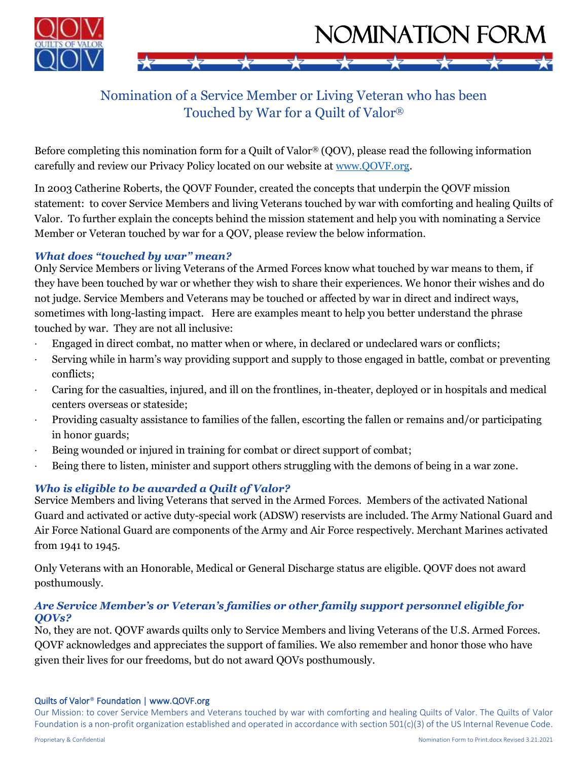

# Nomination of a Service Member or Living Veteran who has been Touched by War for a Quilt of Valor®

Before completing this nomination form for a Quilt of Valor® (QOV), please read the following information carefully and review our Privacy Policy located on our website at www.QOVF.org.

In 2003 Catherine Roberts, the QOVF Founder, created the concepts that underpin the QOVF mission statement: to cover Service Members and living Veterans touched by war with comforting and healing Quilts of Valor. To further explain the concepts behind the mission statement and help you with nominating a Service Member or Veteran touched by war for a QOV, please review the below information.

### *What does "touched by war" mean?*

Only Service Members or living Veterans of the Armed Forces know what touched by war means to them, if they have been touched by war or whether they wish to share their experiences. We honor their wishes and do not judge. Service Members and Veterans may be touched or affected by war in direct and indirect ways, sometimes with long-lasting impact. Here are examples meant to help you better understand the phrase touched by war. They are not all inclusive:

- ∙ Engaged in direct combat, no matter when or where, in declared or undeclared wars or conflicts;
- ∙ Serving while in harm's way providing support and supply to those engaged in battle, combat or preventing conflicts;
- ∙ Caring for the casualties, injured, and ill on the frontlines, in-theater, deployed or in hospitals and medical centers overseas or stateside;
- ∙ Providing casualty assistance to families of the fallen, escorting the fallen or remains and/or participating in honor guards;
- ∙ Being wounded or injured in training for combat or direct support of combat;
- ∙ Being there to listen, minister and support others struggling with the demons of being in a war zone.

## *Who is eligible to be awarded a Quilt of Valor?*

Service Members and living Veterans that served in the Armed Forces. Members of the activated National Guard and activated or active duty-special work (ADSW) reservists are included. The Army National Guard and Air Force National Guard are components of the Army and Air Force respectively. Merchant Marines activated from 1941 to 1945.

Only Veterans with an Honorable, Medical or General Discharge status are eligible. QOVF does not award posthumously.

### *Are Service Member's or Veteran's families or other family support personnel eligible for QOVs?*

No, they are not. QOVF awards quilts only to Service Members and living Veterans of the U.S. Armed Forces. QOVF acknowledges and appreciates the support of families. We also remember and honor those who have given their lives for our freedoms, but do not award QOVs posthumously.

#### Quilts of Valor® Foundation | www.QOVF.org

Our Mission: to cover Service Members and Veterans touched by war with comforting and healing Quilts of Valor. The Quilts of Valor Foundation is a non-profit organization established and operated in accordance with section 501(c)(3) of the US Internal Revenue Code.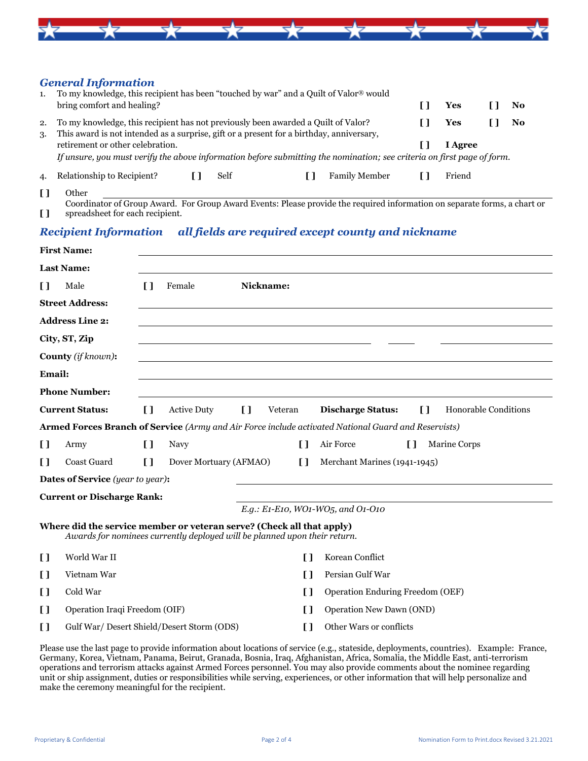

#### *General Information*

| 1.       | To my knowledge, this recipient has been "touched by war" and a Quilt of Valor® would<br>bring comfort and healing?                                                           | Yes     | <b>No</b> |  |
|----------|-------------------------------------------------------------------------------------------------------------------------------------------------------------------------------|---------|-----------|--|
| 2.<br>3. | To my knowledge, this recipient has not previously been awarded a Quilt of Valor?<br>This award is not intended as a surprise, gift or a present for a birthday, anniversary, | Yes     | No        |  |
|          | retirement or other celebration.                                                                                                                                              | I Agree |           |  |
|          | If unsure, you must verify the above information before submitting the nomination; see criteria on first page of form.                                                        |         |           |  |
| 4.       | Relationship to Recipient?<br><b>Family Member</b><br>Self                                                                                                                    | Friend  |           |  |

**[ ]** Other Coordinator of Group Award. For Group Award Events: Please provide the required information on separate forms, a chart or

#### **[ ]** spreadsheet for each recipient.

#### *Recipient Information all fields are required except county and nickname*

|                                     | <b>First Name:</b>                                                                                                                                 |              |                        |                          |              |                                                                                                     |
|-------------------------------------|----------------------------------------------------------------------------------------------------------------------------------------------------|--------------|------------------------|--------------------------|--------------|-----------------------------------------------------------------------------------------------------|
|                                     | <b>Last Name:</b>                                                                                                                                  |              |                        |                          |              |                                                                                                     |
| $\mathbf{I}$                        | Male                                                                                                                                               | Π            | Female                 | Nickname:                |              |                                                                                                     |
|                                     | <b>Street Address:</b>                                                                                                                             |              |                        |                          |              |                                                                                                     |
|                                     | <b>Address Line 2:</b>                                                                                                                             |              |                        |                          |              |                                                                                                     |
|                                     | City, ST, Zip                                                                                                                                      |              |                        |                          |              |                                                                                                     |
|                                     | County (if known):                                                                                                                                 |              |                        |                          |              |                                                                                                     |
| Email:                              |                                                                                                                                                    |              |                        |                          |              |                                                                                                     |
|                                     | <b>Phone Number:</b>                                                                                                                               |              |                        |                          |              |                                                                                                     |
| <b>Current Status:</b>              |                                                                                                                                                    | $\mathbf{I}$ | <b>Active Duty</b>     | $\mathbf{I}$<br>Veteran  |              | $\mathbf{I}$<br>Honorable Conditions<br><b>Discharge Status:</b>                                    |
|                                     |                                                                                                                                                    |              |                        |                          |              | Armed Forces Branch of Service (Army and Air Force include activated National Guard and Reservists) |
| I)                                  | Army                                                                                                                                               | $\mathbf{I}$ | Navy                   |                          | $\mathbf{I}$ | Air Force<br>$\mathbf{I}$<br>Marine Corps                                                           |
| $\mathbf{I}$                        | Coast Guard                                                                                                                                        | $\mathbf{I}$ | Dover Mortuary (AFMAO) |                          | $\mathbf{I}$ | Merchant Marines (1941-1945)                                                                        |
|                                     | <b>Dates of Service</b> (year to year):                                                                                                            |              |                        |                          |              |                                                                                                     |
|                                     | <b>Current or Discharge Rank:</b>                                                                                                                  |              |                        |                          |              |                                                                                                     |
|                                     |                                                                                                                                                    |              |                        |                          |              | E.g.: E1-E10, WO1-WO5, and O1-O10                                                                   |
|                                     | Where did the service member or veteran serve? (Check all that apply)<br>Awards for nominees currently deployed will be planned upon their return. |              |                        |                          |              |                                                                                                     |
| World War II<br>$\Box$              |                                                                                                                                                    |              | $\mathsf{L}$           | Korean Conflict          |              |                                                                                                     |
| I)                                  | Vietnam War                                                                                                                                        |              |                        |                          | $\mathbf{I}$ | Persian Gulf War                                                                                    |
| I)                                  | Cold War                                                                                                                                           |              |                        |                          | IJ           | Operation Enduring Freedom (OEF)                                                                    |
| Operation Iraqi Freedom (OIF)<br>I) |                                                                                                                                                    |              | n                      | Operation New Dawn (OND) |              |                                                                                                     |
| $\mathbf{I}$                        | Gulf War/ Desert Shield/Desert Storm (ODS)                                                                                                         |              | n                      | Other Wars or conflicts  |              |                                                                                                     |
|                                     |                                                                                                                                                    |              |                        |                          |              |                                                                                                     |

Please use the last page to provide information about locations of service (e.g., stateside, deployments, countries). Example: France, Germany, Korea, Vietnam, Panama, Beirut, Granada, Bosnia, Iraq, Afghanistan, Africa, Somalia, the Middle East, anti-terrorism operations and terrorism attacks against Armed Forces personnel. You may also provide comments about the nominee regarding unit or ship assignment, duties or responsibilities while serving, experiences, or other information that will help personalize and make the ceremony meaningful for the recipient.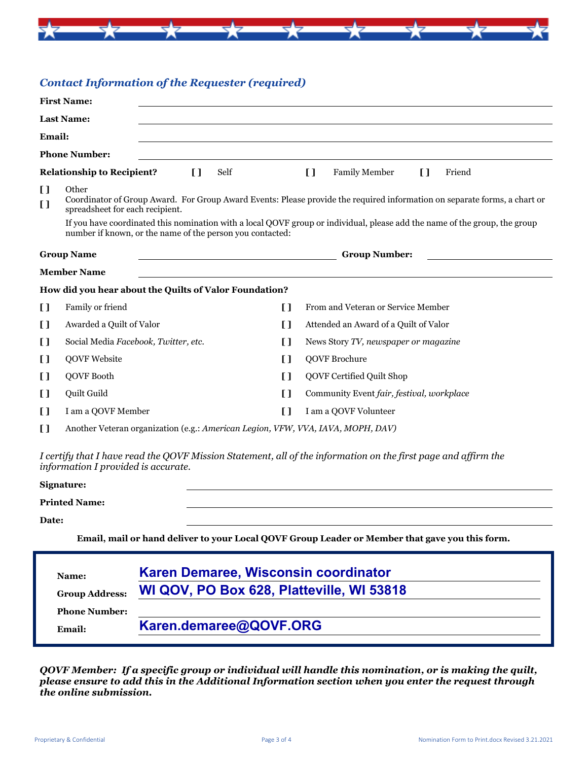

### *Contact Information of the Requester (required)*

| <b>First Name:</b>                                     |                                                                                                                                                                                         |              |                                                      |              |                                           |                        |  |
|--------------------------------------------------------|-----------------------------------------------------------------------------------------------------------------------------------------------------------------------------------------|--------------|------------------------------------------------------|--------------|-------------------------------------------|------------------------|--|
| <b>Last Name:</b>                                      |                                                                                                                                                                                         |              |                                                      |              |                                           |                        |  |
| <b>Email:</b>                                          |                                                                                                                                                                                         |              |                                                      |              |                                           |                        |  |
|                                                        | <b>Phone Number:</b>                                                                                                                                                                    |              |                                                      |              |                                           |                        |  |
| <b>Relationship to Recipient?</b>                      |                                                                                                                                                                                         | $\mathbf{L}$ | Self                                                 | $\mathbf{I}$ | Family Member                             | $\mathbf{I}$<br>Friend |  |
| H<br>I)                                                | Other<br>Coordinator of Group Award. For Group Award Events: Please provide the required information on separate forms, a chart or<br>spreadsheet for each recipient.                   |              |                                                      |              |                                           |                        |  |
|                                                        | If you have coordinated this nomination with a local QOVF group or individual, please add the name of the group, the group<br>number if known, or the name of the person you contacted: |              |                                                      |              |                                           |                        |  |
|                                                        | <b>Group Name</b>                                                                                                                                                                       |              | <u> 1980 - Johann Barn, fransk politik (d. 1980)</u> |              | <b>Group Number:</b>                      |                        |  |
| <b>Member Name</b>                                     |                                                                                                                                                                                         |              |                                                      |              |                                           |                        |  |
| How did you hear about the Quilts of Valor Foundation? |                                                                                                                                                                                         |              |                                                      |              |                                           |                        |  |
| $\mathbf{I}$                                           | Family or friend                                                                                                                                                                        |              | $\mathbf{I}$                                         |              | From and Veteran or Service Member        |                        |  |
| I)                                                     | Awarded a Quilt of Valor                                                                                                                                                                |              | []                                                   |              | Attended an Award of a Quilt of Valor     |                        |  |
| I)                                                     | Social Media Facebook, Twitter, etc.                                                                                                                                                    |              | I)                                                   |              | News Story TV, newspaper or magazine      |                        |  |
| $\mathbf{I}$                                           | <b>QOVF Website</b>                                                                                                                                                                     |              | I)                                                   |              | <b>QOVF</b> Brochure                      |                        |  |
| $\mathbf{I}$                                           | QOVF Booth                                                                                                                                                                              |              | $\Box$                                               |              | QOVF Certified Quilt Shop                 |                        |  |
| $\mathbf{I}$                                           | Quilt Guild                                                                                                                                                                             |              | H                                                    |              | Community Event fair, festival, workplace |                        |  |
| I)                                                     | I am a QOVF Member                                                                                                                                                                      |              | I)                                                   |              | I am a QOVF Volunteer                     |                        |  |
| $\mathbf{I}$                                           | Another Veteran organization (e.g.: American Legion, VFW, VVA, IAVA, MOPH, DAV)                                                                                                         |              |                                                      |              |                                           |                        |  |

*I certify that I have read the QOVF Mission Statement, all of the information on the first page and affirm the information I provided is accurate.*

#### **Signature:**

**Printed Name:**

**Date:**

**Email, mail or hand deliver to your Local QOVF Group Leader or Member that gave you this form.**

| Name:                 | Karen Demaree, Wisconsin coordinator      |  |
|-----------------------|-------------------------------------------|--|
| <b>Group Address:</b> | WI QOV, PO Box 628, Platteville, WI 53818 |  |
| <b>Phone Number:</b>  |                                           |  |
| Email:                | Karen.demaree@QOVF.ORG                    |  |

*QOVF Member: If a specific group or individual will handle this nomination, or is making the quilt, please ensure to add this in the Additional Information section when you enter the request through the online submission.*